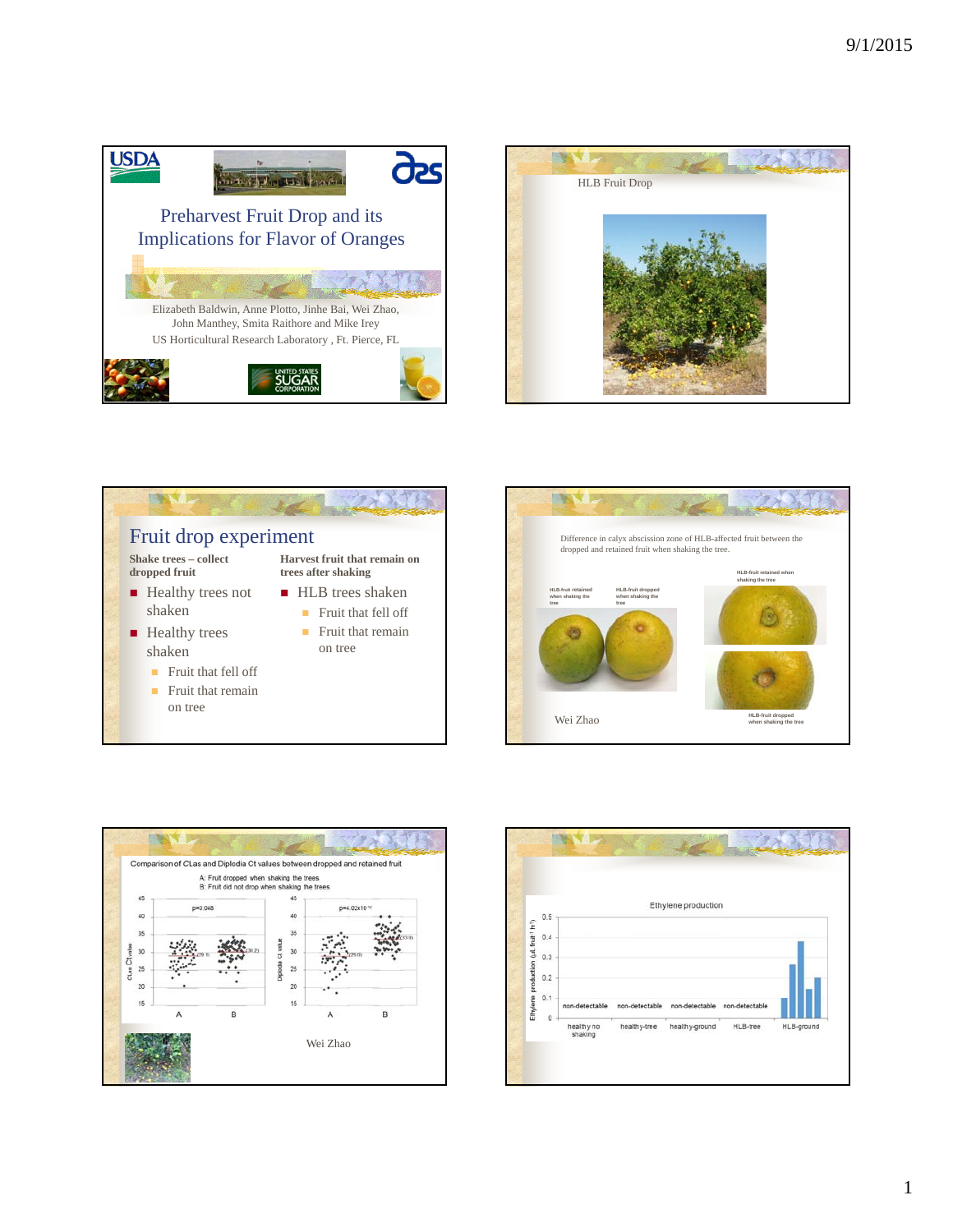









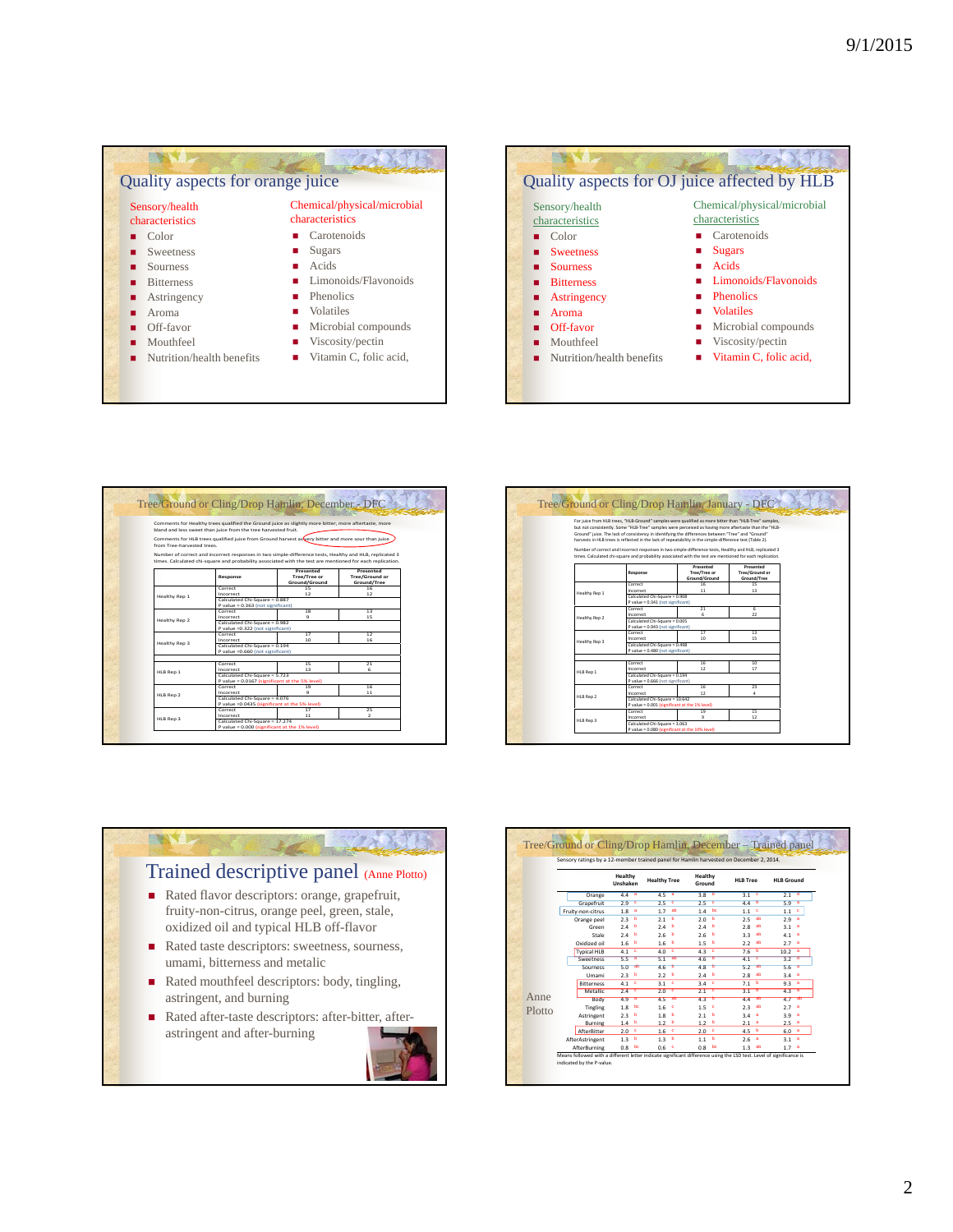



|                           |                                                                                 | Tree/Ground or Cling/Drop Hamlin, December - DFC                                                                                                                                                                     |                                                   |  |  |  |  |
|---------------------------|---------------------------------------------------------------------------------|----------------------------------------------------------------------------------------------------------------------------------------------------------------------------------------------------------------------|---------------------------------------------------|--|--|--|--|
| from Tree-barvested trees | bland and less sweet than juice from the tree harvested fruit.                  | Comments for Healthy trees qualified the Ground juice as slightly more bitter, more aftertaste, more<br>Comments for HLB trees qualified juice from Ground harvest as very bitter and more sour than juice           |                                                   |  |  |  |  |
|                           |                                                                                 | Number of correct and incorrect responses in two simple-difference tests. Healthy and HLB, replicated 3<br>times. Calculated chi-square and probability associated with the test are mentioned for each replication. |                                                   |  |  |  |  |
|                           | Response                                                                        | Presented<br>Tree/Tree or<br>Ground/Ground                                                                                                                                                                           | Presented<br><b>Tree/Ground or</b><br>Ground/Tree |  |  |  |  |
| Healthy Rep 1             | Correct<br>Incorrect<br>Calculated Chi-Square = 0.887                           | 15<br>12                                                                                                                                                                                                             | 16<br>12                                          |  |  |  |  |
|                           | P value = 0.363 (not significant)<br>Correct<br>18<br>13                        |                                                                                                                                                                                                                      |                                                   |  |  |  |  |
| <b>Healthy Rep 2</b>      | Incorrect                                                                       | ۰<br>15<br>Calculated Chi-Square = 0.982                                                                                                                                                                             |                                                   |  |  |  |  |
|                           | P value =0.322 (not significant)<br>Correct<br>Incorrect                        | 17<br>10                                                                                                                                                                                                             | 12<br>16                                          |  |  |  |  |
| Healthy Rep 3             |                                                                                 | Calculated Chi-Square = 0.194<br>P value =0.660 (not significant)                                                                                                                                                    |                                                   |  |  |  |  |
|                           | Correct<br>Incorrect                                                            | 15<br>13                                                                                                                                                                                                             | 21<br>ŕ.                                          |  |  |  |  |
| HLB Rep 1                 | Calculated Chi-Square = 5.723<br>P value = 0.0167 (significant at the 5% level) |                                                                                                                                                                                                                      |                                                   |  |  |  |  |
| HLB Rep 2                 | Correct<br>Incorrect                                                            | 19<br>16<br>9<br>11<br>Calculated Chi-Square = 4.076                                                                                                                                                                 |                                                   |  |  |  |  |
|                           | P value =0.0435 (significant at the 5% level)<br>Correct                        | 17                                                                                                                                                                                                                   | 25                                                |  |  |  |  |
| HLB Rep 3                 | Incorrect<br>Calculated Chi-Square = 17.274                                     | 11                                                                                                                                                                                                                   | $\overline{z}$                                    |  |  |  |  |

|               |                                   | For juice from HLB trees. "HLB-Ground" samples were qualified as more bitter than "HLB-Tree" samples.     |                 |  |  |  |
|---------------|-----------------------------------|-----------------------------------------------------------------------------------------------------------|-----------------|--|--|--|
|               |                                   | but not consistently. Some "HLB-Tree" samples were perceived as having more aftertaste than the "HLB-     |                 |  |  |  |
|               |                                   | Ground" juice. The lack of consistency in identifying the differences between "Tree" and "Ground"         |                 |  |  |  |
|               |                                   | harvests in HLB trees is reflected in the lack of repeatability in the simple-difference test (Table 2).  |                 |  |  |  |
|               |                                   |                                                                                                           |                 |  |  |  |
|               |                                   | Number of correct and incorrect responses in two simple-difference tests. Healthy and HLB, replicated 3   |                 |  |  |  |
|               |                                   | times. Calculated chi-square and probability associated with the test are mentioned for each replication. |                 |  |  |  |
|               |                                   | Presented                                                                                                 | Presented       |  |  |  |
|               | Response                          | Tree/Tree or                                                                                              | Tree/Ground or  |  |  |  |
|               |                                   | Ground/Ground                                                                                             | Ground/Tree     |  |  |  |
|               | Correct                           | 16                                                                                                        | 15              |  |  |  |
|               | Incorrect                         | 11                                                                                                        | 13              |  |  |  |
| Healthy Rep 1 |                                   | Calculated Chi-Square = 0.908                                                                             |                 |  |  |  |
|               | P value = 0.341 (not significant) |                                                                                                           |                 |  |  |  |
|               | Correct                           | 21                                                                                                        | ĥ.              |  |  |  |
| Healthy Rep 2 | Incorrect                         | 6                                                                                                         | $^{22}$         |  |  |  |
|               | Calculated Chi-Square = 0.005     |                                                                                                           |                 |  |  |  |
|               |                                   | P value = 0.943 (not significant)                                                                         |                 |  |  |  |
|               | Correct                           | 17                                                                                                        | 13 <sup>2</sup> |  |  |  |
| Healthy Rep 3 | Incorrect                         | 10                                                                                                        | 15              |  |  |  |
|               |                                   | Calculated Chi-Square = 0.498                                                                             |                 |  |  |  |
|               | P value = 0.480 (not significant) |                                                                                                           |                 |  |  |  |
|               | Correct                           | 16                                                                                                        | 10              |  |  |  |
|               | Incorrect                         | 12                                                                                                        | 17              |  |  |  |
| HLB Rep 1     | Calculated Chi-Square = 0.194     |                                                                                                           |                 |  |  |  |
|               |                                   | P value = 0.666 (not significant)                                                                         |                 |  |  |  |
|               | Correct                           | 16                                                                                                        | 23              |  |  |  |
|               | Incorrect                         | 12 <sup>°</sup>                                                                                           | 4               |  |  |  |
| HLB Rep 2     | Calculated Chi-Square = 10.642    |                                                                                                           |                 |  |  |  |
|               |                                   | P value = 0.001 (significant at the 1% level)                                                             |                 |  |  |  |
|               | Correct                           | 19                                                                                                        | 15              |  |  |  |
|               | Incorrect                         | 9                                                                                                         | 12              |  |  |  |
| HLB Rep 3     | Calculated Chi-Square = 3.063     |                                                                                                           |                 |  |  |  |



|        |                    |                     | Sensory ratings by a 12-member trained panel for Hamlin harvested on December 2, 2014. |                   |                 |                       |
|--------|--------------------|---------------------|----------------------------------------------------------------------------------------|-------------------|-----------------|-----------------------|
|        |                    | Healthy<br>Unshaken | <b>Healthy Tree</b>                                                                    | Healthy<br>Ground | <b>HLB Tree</b> | <b>HLB Ground</b>     |
|        | Orange             | 44<br>-a            | 4.5<br>a                                                                               | 38<br>ь           | $3.1 - 9$       | d<br>2.1              |
|        | Grapefruit         | 2.9<br>c            | 2.5<br>¢                                                                               | 2.5<br>ō          | 4.4<br>ъ        | 5.9<br>a              |
|        | Fruity-non-citrus  | 1.8<br>а            | ab<br>1.7                                                                              | bc<br>1.4         | c<br>1.1        | ۰<br>1.1              |
|        | Orange peel        | ь<br>2.3            | ъ<br>2.1                                                                               | ь<br>2.0          | ab<br>2.5       | а<br>2.9              |
|        | Green              | 2.4<br>ь            | 2.4<br>ъ                                                                               | 2.4<br>ь          | аb<br>2.8       | 3.1<br>٠              |
|        | Stale              | 2.4<br>ь            | 2.6<br>b                                                                               | 2.6<br>ь          | 3.3<br>ab       | 4.1<br>a              |
|        | lio hesibixO       | 1.6<br>ь            | 1.6<br>b                                                                               | ь<br>1.5          | аb<br>2.2       | 2.7<br>а              |
|        | <b>Typical HLB</b> | c<br>4.1            | c<br>4.0                                                                               | 4.3<br>٠          | ъ<br>7.6        | 10.2<br>а             |
|        | Sweetness          | 5.5<br>а            | ab<br>5.1                                                                              | 4.6<br>ъ          | 4.1<br>c        | $\overline{3.2}$<br>ా |
|        | Sourness           | ab<br>5.0           | 4.6<br>ъ                                                                               | 4.8<br>ъ          | æ<br>5.2        | 5.6<br>a              |
|        | Umami              | 2.3<br>ь            | 2.2<br>- 6                                                                             | 24<br>ь           | аb<br>2.8       | 3.4<br>а              |
|        | <b>Bitterness</b>  | 4.1<br>c            | $3.1 - 9$                                                                              | 3.4<br>۰          | ь<br>7.1        | 9.3<br>a              |
|        | Metallic           | ਰ<br>2.4            | ⋷<br>2.0                                                                               | ₹<br>2.1          | ъ<br>3.1        | 4.3<br>ā              |
| Anne   | Body               | 4.9                 | 4.5<br>bis.                                                                            | 4.3<br>ъ          | 4.4<br>w        | 4.7                   |
| Plotto | Tingling           | 1.8<br>bc           | 1.6<br>٠                                                                               | 1.5<br>٠          | 2.3<br>аb       | 27<br>а               |
|        | Astringent         | 2.3<br>b            | 1.8<br>b                                                                               | 2.1<br>b          | а<br>3.4        | 3.9<br>а              |
|        | <b>Burning</b>     | 1A<br>ь             | 12 b                                                                                   | 12<br>ъ           | 2.1<br>а        | $2.5 - a$             |
|        | AfterBitter        | 2.0<br>c            | 1.6 <sup>c</sup>                                                                       | $2.0-6$           | ь<br>4.5        | $6.0 -$ <sup>3</sup>  |
|        | AfterAstringent    | b<br>1.3            | - b<br>1.3                                                                             | ь<br>1.1          | a<br>2.6        | $3.1 - a$             |
|        | AfterBurning       | bc<br>0.8           | 0.6<br>c                                                                               | bc<br>0.8         | аb<br>1.3       | $1.7-3$               |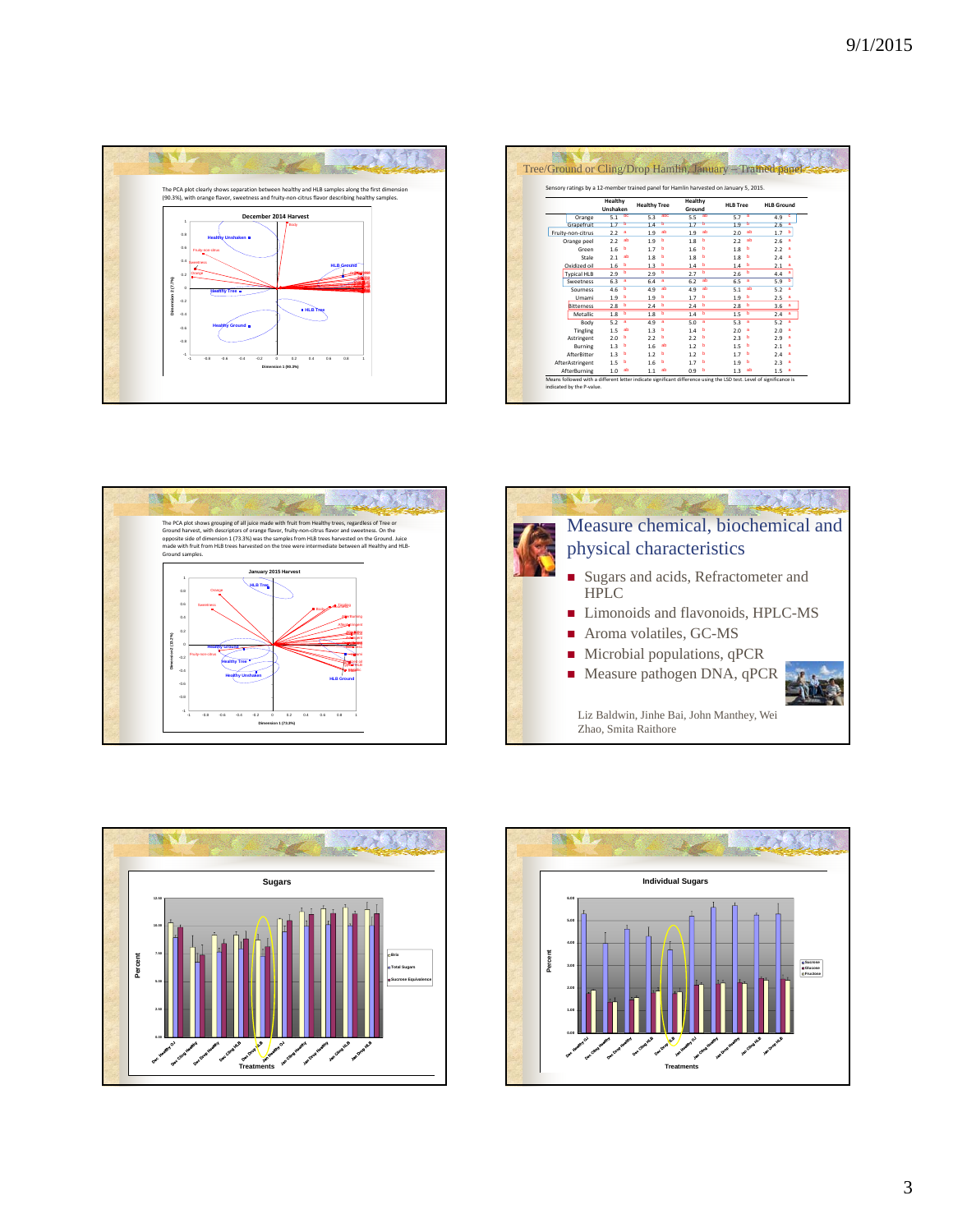

| Sensory ratings by a 12-member trained panel for Hamlin harvested on January 5, 2015. |                       |                  |                     |     |                   |           |                 |                   |
|---------------------------------------------------------------------------------------|-----------------------|------------------|---------------------|-----|-------------------|-----------|-----------------|-------------------|
|                                                                                       | Healthy<br>Unshaken   |                  | <b>Healthy Tree</b> |     | Healthy<br>Ground |           | <b>HLB Tree</b> | <b>HLB Ground</b> |
| Orange                                                                                | 5.1 <sup>bc</sup>     | 53               | abc                 | 5.5 | ab                | $5.7 - a$ |                 | 49<br>- c         |
| Grapefruit                                                                            | 17<br>ъ               | 14               | ъ                   | 17  | ъ                 | 19        | ъ               | $2.6 - 3$         |
| Fruity-non-citrus                                                                     | 2.2<br><b>a</b>       | 1.9              | ab                  | 1.9 | ab                | 2.0       | ab              | ь<br>1.7          |
| Orange peel                                                                           | ab<br>2.2             | 1.9              | ъ                   | 1.8 | ь                 | 2.2       | ab              | 2.6<br>a          |
| Green                                                                                 | 1.6<br>ъ              | 1.7              | ъ                   | 1.6 | ь                 | 1.8       | ь               | 22<br>а           |
| Stale                                                                                 | 2.1<br>ab             | 1.8 <sub>b</sub> |                     | 1.8 | ь                 | 1.8       | ь               | 2.4<br>a          |
| Oxidized oil                                                                          | 1.6<br>ь              | 1.3              | ь                   | 1.4 | ь                 | 1.4       | ь               | 2.1<br>а          |
| <b>Typical HLB</b>                                                                    | $\overline{b}$<br>2.9 | 2.9              | ъ                   | 27  | ъ                 | 2.6       | ь               | 44<br>а           |
| Sweetness                                                                             | <b>a</b><br>6.3       | 64               | $\blacksquare$      | 62  | ab                | 6.5       | a               | ь<br>5.9          |
| Sourness                                                                              | ъ<br>4.6              | 4.9              | ab                  | 4.9 | ab                | 5.1       | ab              | 5.2<br>a          |
| Umami                                                                                 | 1.9<br>- 6            | 19               | ь                   | 1.7 | ь                 | 1.9       | ь               | 2.5<br>а          |
| <b>Bitterness</b>                                                                     | 2.8 <sup>b</sup>      | 2.4              | ъ                   | 2.4 | ь                 | 2.8       | ь               | 3.6<br>а          |
| Metallic                                                                              | - 6<br>1.8            | 1.8              | ъ                   | 1.4 | ь                 | 1.5       | ь               | $2.4 - a$         |
| Body                                                                                  | 5.2<br>a              | 4.9              | a                   | 5.0 | а                 | 5.3       | а               | 5.2<br>a          |
| Tingling                                                                              | 1.5<br>ab             | 1.3              | ъ                   | 14  | ь                 | 2.0       | a               | 2.0<br>a          |
| Astringent                                                                            | 2.0<br>ь              | 2.2              | ь                   | 22  | ь                 | 23        | ь               | 29<br>а           |
| Burning                                                                               | 1.3<br>ъ              | 16               | аb                  | 1.2 | ь                 | 1.5       | ь               | 2.1<br>a          |
| AfterBitter                                                                           | 1.3<br>ъ              | 1.2              | ъ                   | 1.2 | ь                 | 17        | ь               | 24<br>a           |
| AfterAstringent                                                                       | 1.5<br>b              | 1.6              | ь                   | 17  | ь                 | 1.9       | ь               | 2.3<br>a          |
| AfterBurning                                                                          | ab<br>1.0             | 1.1              | аb                  | 0.9 | ь                 | 1.3       | ab              | а<br>1.5          |